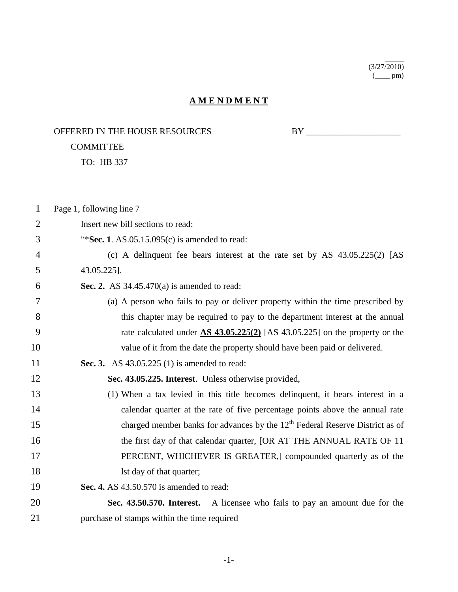(3/27/2010)  $\frac{1}{2}$ 

 $\overline{\phantom{a}}$ 

## **A M E N D M E N T**

OFFERED IN THE HOUSE RESOURCES BY \_\_\_\_\_\_\_\_\_\_\_\_\_\_\_\_\_\_\_\_\_

## COMMITTEE

TO: HB 337

| $\mathbf{1}$   | Page 1, following line 7                                                                 |
|----------------|------------------------------------------------------------------------------------------|
| $\overline{2}$ | Insert new bill sections to read:                                                        |
| 3              | "Sec. 1. $AS.05.15.095(c)$ is amended to read:                                           |
| 4              | (c) A delinquent fee bears interest at the rate set by AS $43.05.225(2)$ [AS             |
| 5              | 43.05.225].                                                                              |
| 6              | Sec. 2. AS $34.45.470(a)$ is amended to read:                                            |
| 7              | (a) A person who fails to pay or deliver property within the time prescribed by          |
| 8              | this chapter may be required to pay to the department interest at the annual             |
| 9              | rate calculated under $\Delta S$ 43.05.225(2) [AS 43.05.225] on the property or the      |
| 10             | value of it from the date the property should have been paid or delivered.               |
| 11             | <b>Sec. 3.</b> AS 43.05.225 (1) is amended to read:                                      |
| 12             | Sec. 43.05.225. Interest. Unless otherwise provided,                                     |
| 13             | (1) When a tax levied in this title becomes delinquent, it bears interest in a           |
| 14             | calendar quarter at the rate of five percentage points above the annual rate             |
| 15             | charged member banks for advances by the 12 <sup>th</sup> Federal Reserve District as of |
| 16             | the first day of that calendar quarter, [OR AT THE ANNUAL RATE OF 11                     |
| 17             | PERCENT, WHICHEVER IS GREATER,] compounded quarterly as of the                           |
| 18             | Ist day of that quarter;                                                                 |
| 19             | Sec. 4. AS 43.50.570 is amended to read:                                                 |
| 20             | Sec. 43.50.570. Interest. A licensee who fails to pay an amount due for the              |
| 21             | purchase of stamps within the time required                                              |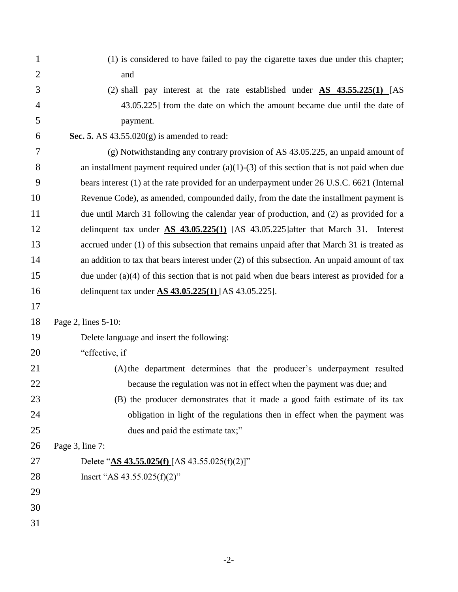(1) is considered to have failed to pay the cigarette taxes due under this chapter; and (2) shall pay interest at the rate established under **AS 43.55.225(1)** [AS 43.05.225] from the date on which the amount became due until the date of payment.  **Sec. 5.** AS 43.55.020(g) is amended to read: (g) Notwithstanding any contrary provision of AS 43.05.225, an unpaid amount of 8 an installment payment required under  $(a)(1)-(3)$  of this section that is not paid when due bears interest (1) at the rate provided for an underpayment under 26 U.S.C. 6621 (Internal Revenue Code), as amended, compounded daily, from the date the installment payment is due until March 31 following the calendar year of production, and (2) as provided for a delinquent tax under **AS 43.05.225(1)** [AS 43.05.225]after that March 31. Interest 13 accrued under (1) of this subsection that remains unpaid after that March 31 is treated as 14 an addition to tax that bears interest under (2) of this subsection. An unpaid amount of tax due under (a)(4) of this section that is not paid when due bears interest as provided for a delinquent tax under **AS 43.05.225(1)** [AS 43.05.225]. Page 2, lines 5-10: Delete language and insert the following: "effective, if (A)the department determines that the producer's underpayment resulted 22 because the regulation was not in effect when the payment was due; and (B) the producer demonstrates that it made a good faith estimate of its tax obligation in light of the regulations then in effect when the payment was 25 dues and paid the estimate tax;" Page 3, line 7: Delete "**AS 43.55.025(f)** [AS 43.55.025(f)(2)]" Insert "AS 43.55.025(f)(2)"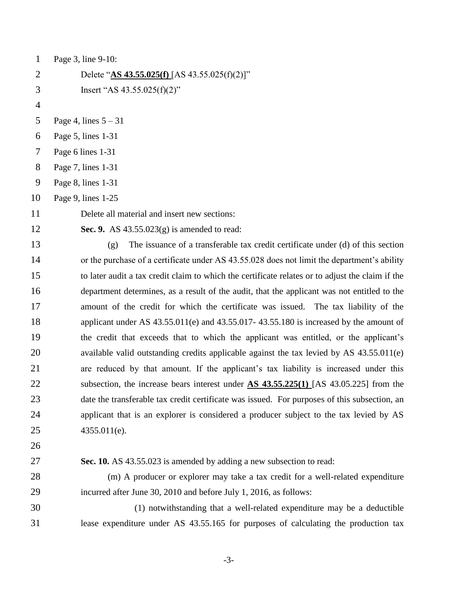| $\mathbf{1}$   | Page 3, line 9-10:                                                                                 |
|----------------|----------------------------------------------------------------------------------------------------|
| $\mathbf{2}$   | Delete " $\Delta S$ 43.55.025(f) [AS 43.55.025(f)(2)]"                                             |
| 3              | Insert "AS $43.55.025(f)(2)$ "                                                                     |
| $\overline{4}$ |                                                                                                    |
| 5              | Page 4, lines $5 - 31$                                                                             |
| 6              | Page 5, lines 1-31                                                                                 |
| 7              | Page 6 lines 1-31                                                                                  |
| 8              | Page 7, lines 1-31                                                                                 |
| 9              | Page 8, lines 1-31                                                                                 |
| 10             | Page 9, lines 1-25                                                                                 |
| 11             | Delete all material and insert new sections:                                                       |
| 12             | Sec. 9. AS $43.55.023(g)$ is amended to read:                                                      |
| 13             | The issuance of a transferable tax credit certificate under (d) of this section<br>(g)             |
| 14             | or the purchase of a certificate under AS 43.55.028 does not limit the department's ability        |
| 15             | to later audit a tax credit claim to which the certificate relates or to adjust the claim if the   |
| 16             | department determines, as a result of the audit, that the applicant was not entitled to the        |
| 17             | amount of the credit for which the certificate was issued. The tax liability of the                |
| 18             | applicant under AS $43.55.011(e)$ and $43.55.017-43.55.180$ is increased by the amount of          |
| 19             | the credit that exceeds that to which the applicant was entitled, or the applicant's               |
| 20             | available valid outstanding credits applicable against the tax levied by AS 43.55.011(e)           |
| 21             | are reduced by that amount. If the applicant's tax liability is increased under this               |
| 22             | subsection, the increase bears interest under $\overline{AS}$ 43.55.225(1) [AS 43.05.225] from the |
| 23             | date the transferable tax credit certificate was issued. For purposes of this subsection, an       |
| 24             | applicant that is an explorer is considered a producer subject to the tax levied by AS             |
| 25             | 4355.011(e).                                                                                       |
| 26             |                                                                                                    |
| 27             | Sec. 10. AS 43.55.023 is amended by adding a new subsection to read:                               |
| 28             | (m) A producer or explorer may take a tax credit for a well-related expenditure                    |
| 29             | incurred after June 30, 2010 and before July 1, 2016, as follows:                                  |
| 30             | (1) notwithstanding that a well-related expenditure may be a deductible                            |
| 31             | lease expenditure under AS 43.55.165 for purposes of calculating the production tax                |
|                |                                                                                                    |

-3-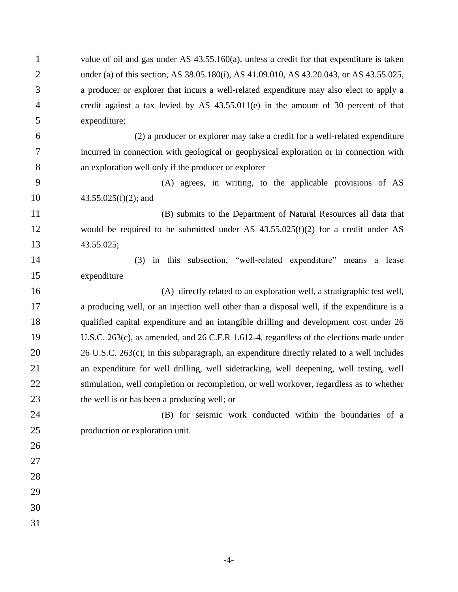value of oil and gas under AS 43.55.160(a), unless a credit for that expenditure is taken under (a) of this section, AS 38.05.180(i), AS 41.09.010, AS 43.20.043, or AS 43.55.025, a producer or explorer that incurs a well-related expenditure may also elect to apply a credit against a tax levied by AS 43.55.011(e) in the amount of 30 percent of that expenditure;

 (2) a producer or explorer may take a credit for a well-related expenditure incurred in connection with geological or geophysical exploration or in connection with an exploration well only if the producer or explorer

 (A) agrees, in writing, to the applicable provisions of AS 43.55.025(f)(2); and

 (B) submits to the Department of Natural Resources all data that would be required to be submitted under AS 43.55.025(f)(2) for a credit under AS 43.55.025;

 (3) in this subsection, "well-related expenditure" means a lease expenditure

 (A) directly related to an exploration well, a stratigraphic test well, a producing well, or an injection well other than a disposal well, if the expenditure is a qualified capital expenditure and an intangible drilling and development cost under 26 U.S.C. 263(c), as amended, and 26 C.F.R 1.612-4, regardless of the elections made under 26 U.S.C. 263(c); in this subparagraph, an expenditure directly related to a well includes an expenditure for well drilling, well sidetracking, well deepening, well testing, well stimulation, well completion or recompletion, or well workover, regardless as to whether the well is or has been a producing well; or

- (B) for seismic work conducted within the boundaries of a production or exploration unit.
- 
- 
- 
- 
- 
-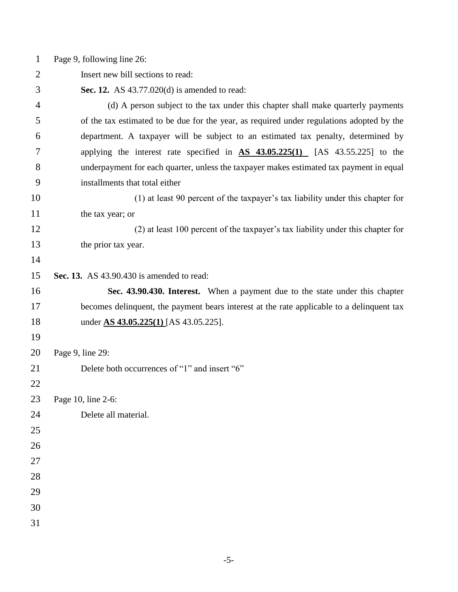Page 9, following line 26:

Insert new bill sections to read:

**Sec. 12.** AS 43.77.020(d) is amended to read:

 (d) A person subject to the tax under this chapter shall make quarterly payments of the tax estimated to be due for the year, as required under regulations adopted by the department. A taxpayer will be subject to an estimated tax penalty, determined by applying the interest rate specified in **AS 43.05.225(1)** [AS 43.55.225] to the underpayment for each quarter, unless the taxpayer makes estimated tax payment in equal installments that total either

 (1) at least 90 percent of the taxpayer's tax liability under this chapter for 11 the tax year; or

 (2) at least 100 percent of the taxpayer's tax liability under this chapter for the prior tax year.

**Sec. 13.** AS 43.90.430 is amended to read:

 **Sec. 43.90.430. Interest.** When a payment due to the state under this chapter becomes delinquent, the payment bears interest at the rate applicable to a delinquent tax under **AS 43.05.225(1)** [AS 43.05.225].

Page 9, line 29:

Delete both occurrences of "1" and insert "6"

Page 10, line 2-6:

Delete all material.